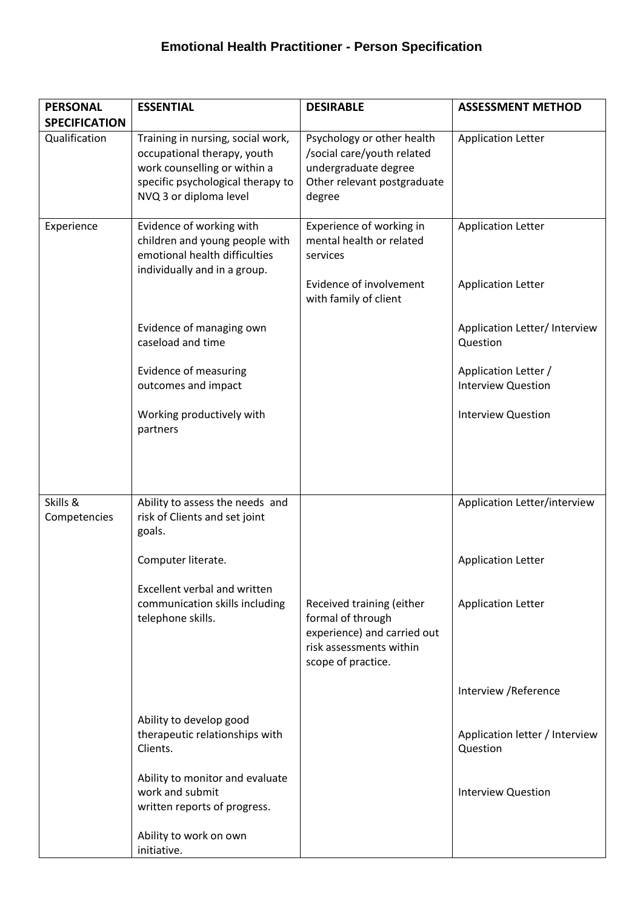## **Emotional Health Practitioner - Person Specification**

| <b>PERSONAL</b><br><b>SPECIFICATION</b> | <b>ESSENTIAL</b>                                                                                                                                                | <b>DESIRABLE</b>                                                                                                               | <b>ASSESSMENT METHOD</b>                                                                                                    |
|-----------------------------------------|-----------------------------------------------------------------------------------------------------------------------------------------------------------------|--------------------------------------------------------------------------------------------------------------------------------|-----------------------------------------------------------------------------------------------------------------------------|
| Qualification                           | Training in nursing, social work,<br>occupational therapy, youth<br>work counselling or within a<br>specific psychological therapy to<br>NVQ 3 or diploma level | Psychology or other health<br>/social care/youth related<br>undergraduate degree<br>Other relevant postgraduate<br>degree      | <b>Application Letter</b>                                                                                                   |
| Experience                              | Evidence of working with<br>children and young people with<br>emotional health difficulties<br>individually and in a group.                                     | Experience of working in<br>mental health or related<br>services<br>Evidence of involvement<br>with family of client           | <b>Application Letter</b><br><b>Application Letter</b>                                                                      |
|                                         | Evidence of managing own<br>caseload and time<br>Evidence of measuring<br>outcomes and impact<br>Working productively with<br>partners                          |                                                                                                                                | Application Letter/ Interview<br>Question<br>Application Letter /<br><b>Interview Question</b><br><b>Interview Question</b> |
| Skills &<br>Competencies                | Ability to assess the needs and<br>risk of Clients and set joint<br>goals.                                                                                      |                                                                                                                                | Application Letter/interview                                                                                                |
|                                         | Computer literate.                                                                                                                                              |                                                                                                                                | <b>Application Letter</b>                                                                                                   |
|                                         | Excellent verbal and written<br>communication skills including<br>telephone skills.                                                                             | Received training (either<br>formal of through<br>experience) and carried out<br>risk assessments within<br>scope of practice. | <b>Application Letter</b>                                                                                                   |
|                                         |                                                                                                                                                                 |                                                                                                                                | Interview / Reference                                                                                                       |
|                                         | Ability to develop good<br>therapeutic relationships with<br>Clients.                                                                                           |                                                                                                                                | Application letter / Interview<br>Question                                                                                  |
|                                         | Ability to monitor and evaluate<br>work and submit<br>written reports of progress.                                                                              |                                                                                                                                | <b>Interview Question</b>                                                                                                   |
|                                         | Ability to work on own<br>initiative.                                                                                                                           |                                                                                                                                |                                                                                                                             |